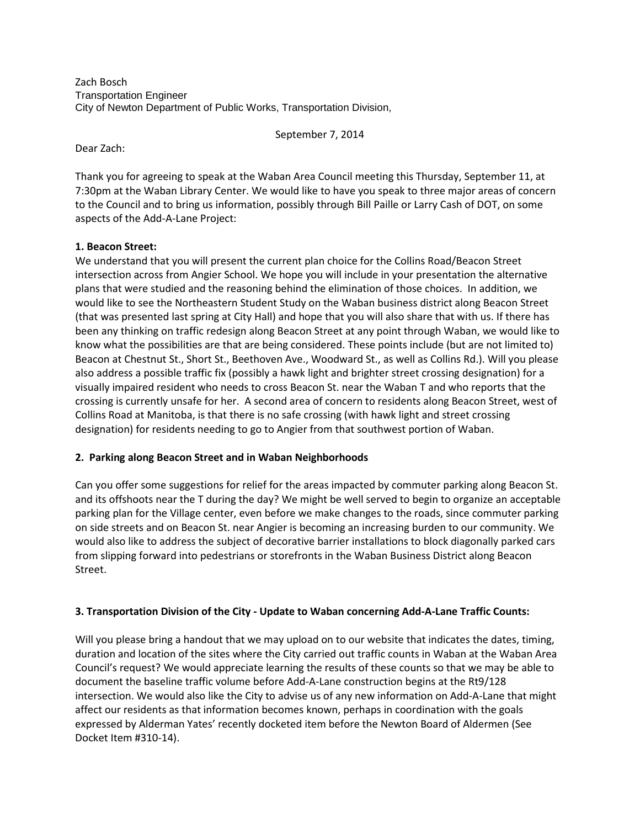Zach Bosch Transportation Engineer City of Newton Department of Public Works, Transportation Division,

September 7, 2014

Dear Zach:

Thank you for agreeing to speak at the Waban Area Council meeting this Thursday, September 11, at 7:30pm at the Waban Library Center. We would like to have you speak to three major areas of concern to the Council and to bring us information, possibly through Bill Paille or Larry Cash of DOT, on some aspects of the Add-A-Lane Project:

## **1. Beacon Street:**

We understand that you will present the current plan choice for the Collins Road/Beacon Street intersection across from Angier School. We hope you will include in your presentation the alternative plans that were studied and the reasoning behind the elimination of those choices. In addition, we would like to see the Northeastern Student Study on the Waban business district along Beacon Street (that was presented last spring at City Hall) and hope that you will also share that with us. If there has been any thinking on traffic redesign along Beacon Street at any point through Waban, we would like to know what the possibilities are that are being considered. These points include (but are not limited to) Beacon at Chestnut St., Short St., Beethoven Ave., Woodward St., as well as Collins Rd.). Will you please also address a possible traffic fix (possibly a hawk light and brighter street crossing designation) for a visually impaired resident who needs to cross Beacon St. near the Waban T and who reports that the crossing is currently unsafe for her. A second area of concern to residents along Beacon Street, west of Collins Road at Manitoba, is that there is no safe crossing (with hawk light and street crossing designation) for residents needing to go to Angier from that southwest portion of Waban.

## **2. Parking along Beacon Street and in Waban Neighborhoods**

Can you offer some suggestions for relief for the areas impacted by commuter parking along Beacon St. and its offshoots near the T during the day? We might be well served to begin to organize an acceptable parking plan for the Village center, even before we make changes to the roads, since commuter parking on side streets and on Beacon St. near Angier is becoming an increasing burden to our community. We would also like to address the subject of decorative barrier installations to block diagonally parked cars from slipping forward into pedestrians or storefronts in the Waban Business District along Beacon Street.

## **3. Transportation Division of the City - Update to Waban concerning Add-A-Lane Traffic Counts:**

Will you please bring a handout that we may upload on to our website that indicates the dates, timing, duration and location of the sites where the City carried out traffic counts in Waban at the Waban Area Council's request? We would appreciate learning the results of these counts so that we may be able to document the baseline traffic volume before Add-A-Lane construction begins at the Rt9/128 intersection. We would also like the City to advise us of any new information on Add-A-Lane that might affect our residents as that information becomes known, perhaps in coordination with the goals expressed by Alderman Yates' recently docketed item before the Newton Board of Aldermen (See Docket Item #310-14).